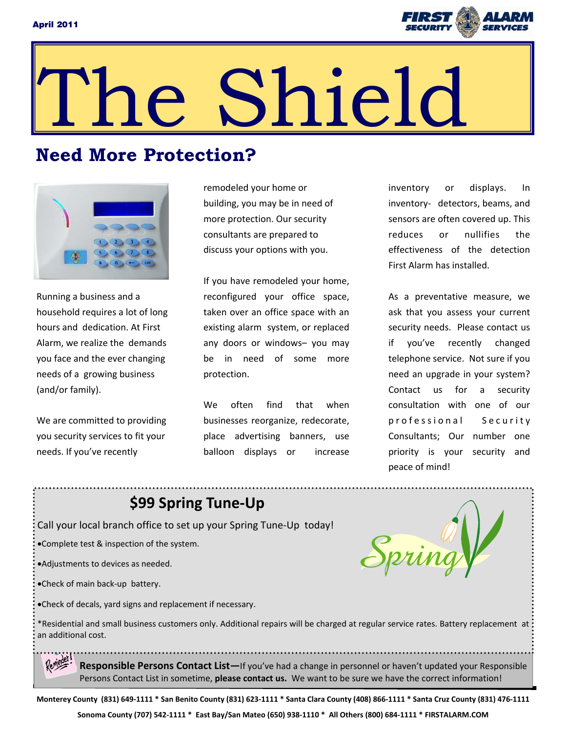

# e Shield

# **Need More Protection?**



Running a business and a household requires a lot of long hours and dedication. At First Alarm, we realize the demands you face and the ever changing needs of a growing business (and/or family).

We are committed to providing you security services to fit your needs. If you've recently

remodeled your home or building, you may be in need of more protection. Our security consultants are prepared to discuss your options with you.

If you have remodeled your home, reconfigured your office space, taken over an office space with an existing alarm system, or replaced any doors or windows– you may be in need of some more protection.

We often find that when businesses reorganize, redecorate, place advertising banners, use balloon displays or increase

inventory or displays. In inventory- detectors, beams, and sensors are often covered up. This reduces or nullifies the effectiveness of the detection First Alarm has installed.

As a preventative measure, we ask that you assess your current security needs. Please contact us if you've recently changed telephone service. Not sure if you need an upgrade in your system? Contact us for a security consultation with one of our professional Security Consultants; Our number one priority is your security and peace of mind!

# **\$99 Spring Tune‐Up**

Call your local branch office to set up your Spring Tune‐Up today!

Complete test & inspection of the system.

Adjustments to devices as needed.

Check of main back‐up battery.

Check of decals, yard signs and replacement if necessary.

Spring

\*Residential and small business customers only. Additional repairs will be charged at regular service rates. Battery replacement at an additional cost.

**Responsible Persons Contact List—**If you've had a change in personnel or haven't updated your Responsible Persons Contact List in sometime, **please contact us.** We want to be sure we have the correct information!

Monterey County (831) 649-1111 \* San Benito County (831) 623-1111 \* Santa Clara County (408) 866-1111 \* Santa Cruz County (831) 476-1111 Sonoma County (707) 542-1111 \* East Bay/San Mateo (650) 938-1110 \* All Others (800) 684-1111 \* FIRSTALARM.COM